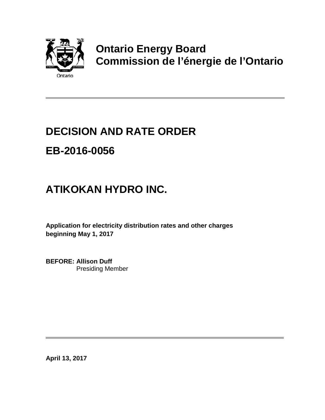

## **Ontario Energy Board Commission de l'énergie de l'Ontario**

# **DECISION AND RATE ORDER EB-2016-0056**

## **ATIKOKAN HYDRO INC.**

**Application for electricity distribution rates and other charges beginning May 1, 2017**

**BEFORE: Allison Duff** Presiding Member

**April 13, 2017**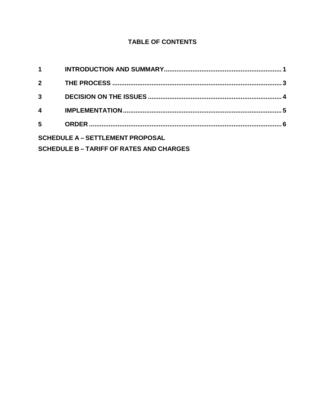#### **TABLE OF CONTENTS**

| $\mathbf 1$                                   |  |  |
|-----------------------------------------------|--|--|
| $2^{\circ}$                                   |  |  |
| $\mathbf{3}$                                  |  |  |
| $\overline{\mathbf{4}}$                       |  |  |
| 5                                             |  |  |
| <b>SCHEDULE A - SETTLEMENT PROPOSAL</b>       |  |  |
| <b>SCHEDULE B-TARIFF OF RATES AND CHARGES</b> |  |  |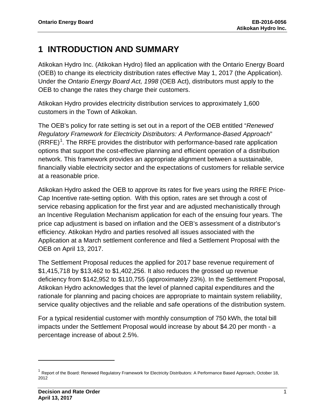### <span id="page-2-0"></span>**1 INTRODUCTION AND SUMMARY**

Atikokan Hydro Inc. (Atikokan Hydro) filed an application with the Ontario Energy Board (OEB) to change its electricity distribution rates effective May 1, 2017 (the Application). Under the *Ontario Energy Board Act, 1998* (OEB Act), distributors must apply to the OEB to change the rates they charge their customers.

Atikokan Hydro provides electricity distribution services to approximately 1,600 customers in the Town of Atikokan.

The OEB's policy for rate setting is set out in a report of the OEB entitled "*Renewed Regulatory Framework for Electricity Distributors: A Performance-Based Approach*"  $(RRFE)<sup>1</sup>$  $(RRFE)<sup>1</sup>$  $(RRFE)<sup>1</sup>$ . The RRFE provides the distributor with performance-based rate application options that support the cost-effective planning and efficient operation of a distribution network. This framework provides an appropriate alignment between a sustainable, financially viable electricity sector and the expectations of customers for reliable service at a reasonable price.

Atikokan Hydro asked the OEB to approve its rates for five years using the RRFE Price-Cap Incentive rate-setting option. With this option, rates are set through a cost of service rebasing application for the first year and are adjusted mechanistically through an Incentive Regulation Mechanism application for each of the ensuing four years. The price cap adjustment is based on inflation and the OEB's assessment of a distributor's efficiency. Atikokan Hydro and parties resolved all issues associated with the Application at a March settlement conference and filed a Settlement Proposal with the OEB on April 13, 2017.

The Settlement Proposal reduces the applied for 2017 base revenue requirement of \$1,415,718 by \$13,462 to \$1,402,256. It also reduces the grossed up revenue deficiency from \$142,952 to \$110,755 (approximately 23%). In the Settlement Proposal, Atikokan Hydro acknowledges that the level of planned capital expenditures and the rationale for planning and pacing choices are appropriate to maintain system reliability, service quality objectives and the reliable and safe operations of the distribution system.

For a typical residential customer with monthly consumption of 750 kWh, the total bill impacts under the Settlement Proposal would increase by about \$4.20 per month - a percentage increase of about 2.5%.

 $\overline{a}$ 

<span id="page-2-1"></span><sup>&</sup>lt;sup>1</sup> Report of the Board: Renewed Regulatory Framework for Electricity Distributors: A Performance Based Approach, October 18, 2012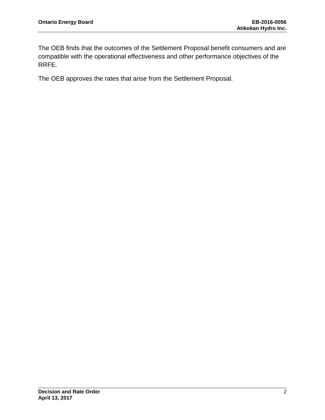The OEB finds that the outcomes of the Settlement Proposal benefit consumers and are compatible with the operational effectiveness and other performance objectives of the RRFE.

The OEB approves the rates that arise from the Settlement Proposal.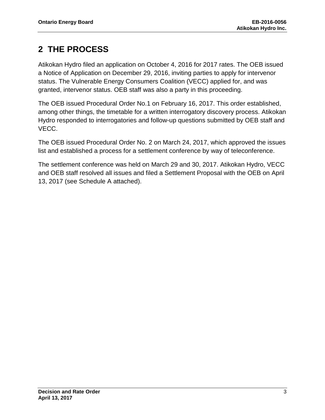## <span id="page-4-0"></span>**2 THE PROCESS**

Atikokan Hydro filed an application on October 4, 2016 for 2017 rates. The OEB issued a Notice of Application on December 29, 2016, inviting parties to apply for intervenor status. The Vulnerable Energy Consumers Coalition (VECC) applied for, and was granted, intervenor status. OEB staff was also a party in this proceeding.

The OEB issued Procedural Order No.1 on February 16, 2017. This order established, among other things, the timetable for a written interrogatory discovery process. Atikokan Hydro responded to interrogatories and follow-up questions submitted by OEB staff and VECC.

The OEB issued Procedural Order No. 2 on March 24, 2017, which approved the issues list and established a process for a settlement conference by way of teleconference.

The settlement conference was held on March 29 and 30, 2017. Atikokan Hydro, VECC and OEB staff resolved all issues and filed a Settlement Proposal with the OEB on April 13, 2017 (see Schedule A attached).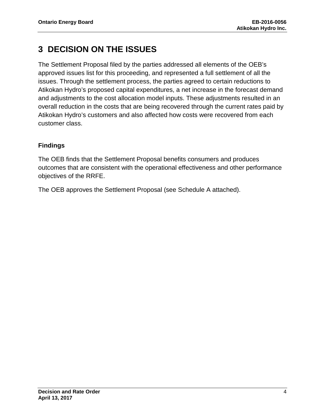### <span id="page-5-0"></span>**3 DECISION ON THE ISSUES**

The Settlement Proposal filed by the parties addressed all elements of the OEB's approved issues list for this proceeding, and represented a full settlement of all the issues. Through the settlement process, the parties agreed to certain reductions to Atikokan Hydro's proposed capital expenditures, a net increase in the forecast demand and adjustments to the cost allocation model inputs. These adjustments resulted in an overall reduction in the costs that are being recovered through the current rates paid by Atikokan Hydro's customers and also affected how costs were recovered from each customer class.

#### **Findings**

The OEB finds that the Settlement Proposal benefits consumers and produces outcomes that are consistent with the operational effectiveness and other performance objectives of the RRFE.

The OEB approves the Settlement Proposal (see Schedule A attached).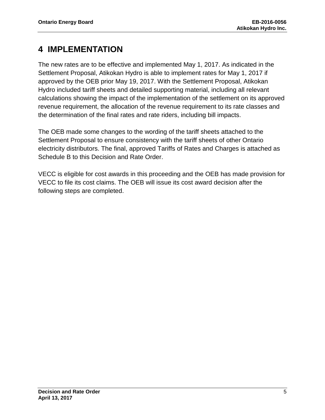### <span id="page-6-0"></span>**4 IMPLEMENTATION**

The new rates are to be effective and implemented May 1, 2017. As indicated in the Settlement Proposal, Atikokan Hydro is able to implement rates for May 1, 2017 if approved by the OEB prior May 19, 2017. With the Settlement Proposal, Atikokan Hydro included tariff sheets and detailed supporting material, including all relevant calculations showing the impact of the implementation of the settlement on its approved revenue requirement, the allocation of the revenue requirement to its rate classes and the determination of the final rates and rate riders, including bill impacts.

The OEB made some changes to the wording of the tariff sheets attached to the Settlement Proposal to ensure consistency with the tariff sheets of other Ontario electricity distributors. The final, approved Tariffs of Rates and Charges is attached as Schedule B to this Decision and Rate Order.

VECC is eligible for cost awards in this proceeding and the OEB has made provision for VECC to file its cost claims. The OEB will issue its cost award decision after the following steps are completed.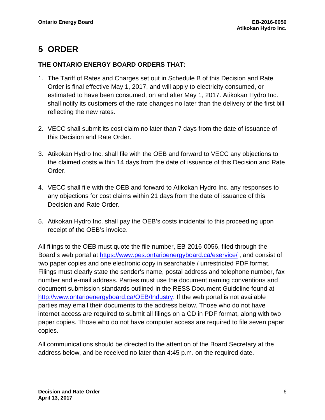### <span id="page-7-0"></span>**5 ORDER**

#### **THE ONTARIO ENERGY BOARD ORDERS THAT:**

- 1. The Tariff of Rates and Charges set out in Schedule B of this Decision and Rate Order is final effective May 1, 2017, and will apply to electricity consumed, or estimated to have been consumed, on and after May 1, 2017. Atikokan Hydro Inc. shall notify its customers of the rate changes no later than the delivery of the first bill reflecting the new rates.
- 2. VECC shall submit its cost claim no later than 7 days from the date of issuance of this Decision and Rate Order.
- 3. Atikokan Hydro Inc. shall file with the OEB and forward to VECC any objections to the claimed costs within 14 days from the date of issuance of this Decision and Rate Order.
- 4. VECC shall file with the OEB and forward to Atikokan Hydro Inc. any responses to any objections for cost claims within 21 days from the date of issuance of this Decision and Rate Order.
- 5. Atikokan Hydro Inc. shall pay the OEB's costs incidental to this proceeding upon receipt of the OEB's invoice.

All filings to the OEB must quote the file number, EB-2016-0056, filed through the Board's web portal at<https://www.pes.ontarioenergyboard.ca/eservice/> , and consist of two paper copies and one electronic copy in searchable / unrestricted PDF format. Filings must clearly state the sender's name, postal address and telephone number, fax number and e-mail address. Parties must use the document naming conventions and document submission standards outlined in the RESS Document Guideline found at [http://www.ontarioenergyboard.ca/OEB/Industry.](http://www.ontarioenergyboard.ca/OEB/Industry) If the web portal is not available parties may email their documents to the address below. Those who do not have internet access are required to submit all filings on a CD in PDF format, along with two paper copies. Those who do not have computer access are required to file seven paper copies.

All communications should be directed to the attention of the Board Secretary at the address below, and be received no later than 4:45 p.m. on the required date.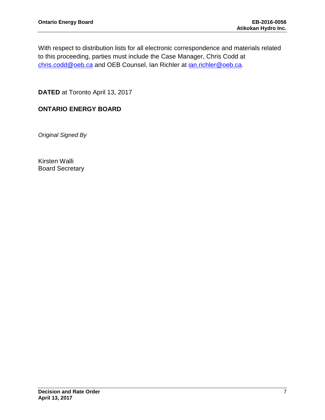With respect to distribution lists for all electronic correspondence and materials related to this proceeding, parties must include the Case Manager, Chris Codd at [chris.codd@oeb.ca](mailto:chris.codd@oeb.ca) and OEB Counsel, Ian Richler at [ian.richler@oeb.ca.](mailto:ian.richler@oeb.ca)

**DATED** at Toronto April 13, 2017

#### **ONTARIO ENERGY BOARD**

*Original Signed By*

Kirsten Walli Board Secretary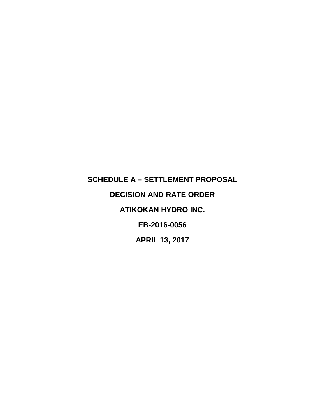## <span id="page-9-0"></span>**SCHEDULE A – SETTLEMENT PROPOSAL DECISION AND RATE ORDER ATIKOKAN HYDRO INC. EB-2016-0056 APRIL 13, 2017**